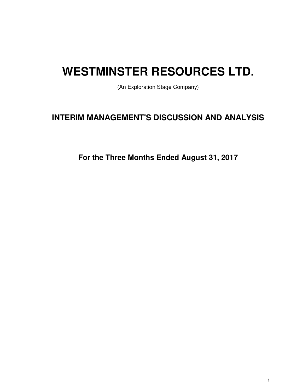# **WESTMINSTER RESOURCES LTD.**

(An Exploration Stage Company)

# **INTERIM MANAGEMENT'S DISCUSSION AND ANALYSIS**

**For the Three Months Ended August 31, 2017**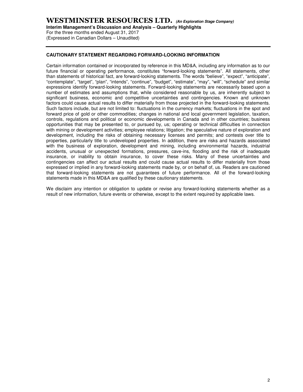(Expressed in Canadian Dollars – Unaudited)

### **CAUTIONARY STATEMENT REGARDING FORWARD-LOOKING INFORMATION**

Certain information contained or incorporated by reference in this MD&A, including any information as to our future financial or operating performance, constitutes "forward-looking statements". All statements, other than statements of historical fact, are forward-looking statements. The words "believe", "expect", "anticipate", "contemplate", "target", "plan", "intends", "continue", "budget", "estimate", "may", "will", "schedule" and similar expressions identify forward-looking statements. Forward-looking statements are necessarily based upon a number of estimates and assumptions that, while considered reasonable by us, are inherently subject to significant business, economic and competitive uncertainties and contingencies. Known and unknown factors could cause actual results to differ materially from those projected in the forward-looking statements. Such factors include, but are not limited to: fluctuations in the currency markets; fluctuations in the spot and forward price of gold or other commodities; changes in national and local government legislation, taxation, controls, regulations and political or economic developments in Canada and in other countries; business opportunities that may be presented to, or pursued by, us; operating or technical difficulties in connection with mining or development activities; employee relations; litigation; the speculative nature of exploration and development, including the risks of obtaining necessary licenses and permits; and contests over title to properties, particularly title to undeveloped properties. In addition, there are risks and hazards associated with the business of exploration, development and mining, including environmental hazards, industrial accidents, unusual or unexpected formations, pressures, cave-ins, flooding and the risk of inadequate insurance, or inability to obtain insurance, to cover these risks. Many of these uncertainties and contingencies can affect our actual results and could cause actual results to differ materially from those expressed or implied in any forward-looking statements made by, or on behalf of, us. Readers are cautioned that forward-looking statements are not guarantees of future performance. All of the forward-looking statements made in this MD&A are qualified by these cautionary statements.

We disclaim any intention or obligation to update or revise any forward-looking statements whether as a result of new information, future events or otherwise, except to the extent required by applicable laws.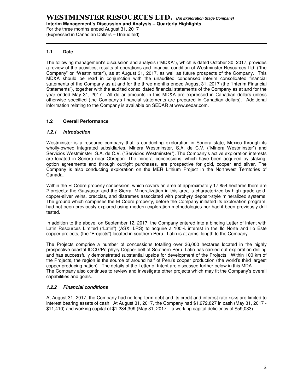For the three months ended August 31, 2017 (Expressed in Canadian Dollars – Unaudited)

# **1.1 Date**

The following management's discussion and analysis ("MD&A"), which is dated October 30, 2017, provides a review of the activities, results of operations and financial condition of Westminster Resources Ltd. ("the Company" or "Westminster"), as at August 31, 2017, as well as future prospects of the Company. This MD&A should be read in conjunction with the unaudited condensed interim consolidated financial statements of the Company as at and for the three months ended August 31, 2017 (the "Interim Financial Statements"), together with the audited consolidated financial statements of the Company as at and for the year ended May 31, 2017. All dollar amounts in this MD&A are expressed in Canadian dollars unless otherwise specified (the Company's financial statements are prepared in Canadian dollars). Additional information relating to the Company is available on SEDAR at www.sedar.com.

# **1.2 Overall Performance**

# **1.2.1 Introduction**

Westminster is a resource company that is conducting exploration in Sonora state, Mexico through its wholly-owned integrated subsidiaries, Minera Westminster, S.A. de C.V. ("Minera Westminster") and Servicios Westminster, S.A. de C.V. ("Servicios Westminster"). The Company's active exploration interests are located in Sonora near Obregon. The mineral concessions, which have been acquired by staking, option agreements and through outright purchases, are prospective for gold, copper and silver. The Company is also conducting exploration on the MER Lithium Project in the Northwest Territories of Canada.

Within the El Cobre property concession, which covers an area of approximately 17,854 hectares there are 2 projects; the Guayacan and the Sierra. Mineralization in this area is characterized by high grade goldcopper-silver veins, breccias, and diatremes associated with porphyry deposit-style mineralized systems. The ground which comprises the El Cobre property, before the Company initiated its exploration program, had not been previously explored using modern exploration methodologies nor had it been previously drill tested.

In addition to the above, on September 12, 2017, the Company entered into a binding Letter of Intent with Latin Resources Limited ("Latin") (ASX: LRS) to acquire a 100% interest in the Ilo Norte and Ilo Este copper projects, (the "Projects") located in southern Peru. Latin is at arms' length to the Company.

The Projects comprise a number of concessions totalling over 36,000 hectares located in the highly prospective coastal IOCG/Porphyry Copper belt of Southern Peru. Latin has carried out exploration drilling and has successfully demonstrated substantial upside for development of the Projects. Within 100 km of the Projects, the region is the source of around half of Peru's copper production (the world's third largest copper producing nation). The details of the Letter of Intent are discussed further below in this MDA. The Company also continues to review and investigate other projects which may fit the Company's overall capabilities and goals.

# **1.2.2 Financial conditions**

At August 31, 2017, the Company had no long-term debt and its credit and interest rate risks are limited to interest bearing assets of cash. At August 31, 2017, the Company had \$1,272,827 in cash (May 31, 2017 - \$11,410) and working capital of \$1,284,309 (May 31, 2017 – a working capital deficiency of \$59,033).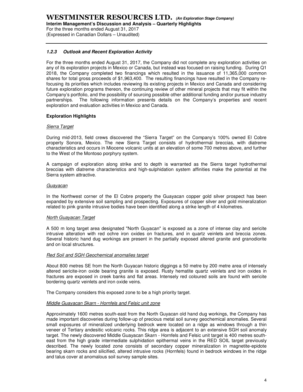**Interim Management's Discussion and Analysis – Quarterly Highlights** 

For the three months ended August 31, 2017 (Expressed in Canadian Dollars – Unaudited)

# **1.2.3 Outlook and Recent Exploration Activity**

For the three months ended August 31, 2017, the Company did not complete any exploration activities on any of its exploration projects in Mexico or Canada, but instead was focused on raising funding. During Q1 2018, the Company completed two financings which resulted in the issuance of 11,365,000 common shares for total gross proceeds of \$1,963,400. The resulting financings have resulted in the Company refocusing its priorities which includes reviewing its existing projects in Mexico and Canada and considering future exploration programs thereon, the continuing review of other mineral projects that may fit within the Company's portfolio, and the possibility of sourcing possible other additional funding and/or pursue industry partnerships. The following information presents details on the Company's properties and recent exploration and evaluation activities in Mexico and Canada.

# **Exploration Highlights**

# Sierra Target

During mid-2013, field crews discovered the "Sierra Target" on the Company's 100% owned El Cobre property Sonora, Mexico. The new Sierra Target consists of hydrothermal breccias, with diatreme characteristics and occurs in Miocene volcanic units at an elevation of some 700 metres above, and further to the West of the Montoso porphyry system.

A campaign of exploration along strike and to depth is warranted as the Sierra target hydrothermal breccias with diatreme characteristics and high-sulphidation system affinities make the potential at the Sierra system attractive.

### **Guayacan**

In the Northwest corner of the El Cobre property the Guayacan copper gold silver prospect has been expanded by extensive soil sampling and prospecting. Exposures of copper silver and gold mineralization related to pink granite intrusive bodies have been identified along a strike length of 4 kilometres.

# North Guayacan Target

A 500 m long target area designated "North Guyacan" is exposed as a zone of intense clay and sericite intrusive alteration with red ochre iron oxides on fractures, and in quartz veinlets and breccia zones. Several historic hand dug workings are present in the partially exposed altered granite and granodiorite and on local structures.

#### Red Soil and SGH Geochemical anomalies target

About 800 metres SE from the North Guyacan historic diggings a 50 metre by 200 metre area of intensely altered sericite-iron oxide bearing granite is exposed. Rusty hematite quartz veinlets and iron oxides in fractures are exposed in creek banks and flat areas. Intensely red coloured soils are found with sericite bordering quartz veinlets and iron oxide veins.

The Company considers this exposed zone to be a high priority target.

#### Middle Guayacan Skarn - Hornfels and Felsic unit zone

Approximately 1600 metres south-east from the North Guyacan old hand dug workings, the Company has made important discoveries during follow-up of precious metal soil survey geochemical anomalies. Several small exposures of mineralized underlying bedrock were located on a ridge as windows through a thin veneer of Tertiary andesitic volcanic rocks. This ridge area is adjacent to an extensive SGH soil anomaly target. The newly discovered Middle Guayacan Skarn - Hornfels and Felsic unit target is 400 metres southeast from the high grade intermediate sulphidation epithermal veins in the RED SOIL target previously described. The newly located zone consists of secondary copper mineralization in magnetite-epidote bearing skarn rocks and silicified, altered intrusive rocks (Hornfels) found in bedrock windows in the ridge and talus cover at anomalous soil survey sample sites.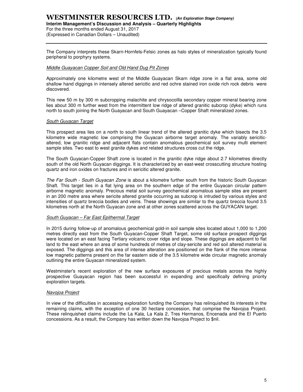# **WESTMINSTER RESOURCES LTD. (An Exploration Stage Company)**

# **Interim Management's Discussion and Analysis – Quarterly Highlights**

For the three months ended August 31, 2017 (Expressed in Canadian Dollars – Unaudited)

The Company interprets these Skarn-Hornfels-Felsic zones as halo styles of mineralization typically found peripheral to porphyry systems.

### Middle Guayacan Copper Soil and Old Hand Dug Pit Zones

Approximately one kilometre west of the Middle Guayacan Skarn ridge zone in a flat area, some old shallow hand diggings in intensely altered sericitic and red ochre stained iron oxide rich rock debris were discovered.

This new 50 m by 300 m subcropping malachite and chrysocollla secondary copper mineral bearing zone lies about 300 m further west from the intermittent low ridge of altered granitic subcrop (dyke) which runs north to south joining the North Guayacan and South Guayacan –Copper Shaft mineralized zones.

# South Guyacan Target

This prospect area lies on a north to south linear trend of the altered granitic dyke which bisects the 3.5 kilometre wide magnetic low comprising the Guyacan airborne target anomaly. The variably sericiticaltered, low granitic ridge and adjacent flats contain anomalous geochemical soil survey multi element sample sites. Two east to west granite dykes and related structures cross cut the ridge.

The South Guyacan-Copper Shaft zone is located in the granitic dyke ridge about 2.7 kilometres directly south of the old North Guyacan diggings. It is characterized by an east-west crosscutting structure hosting quartz and iron oxides on fractures and in sericitic altered granite.

The Far South - South Guyacan Zone is about a kilometre further south from the historic South Guyacan Shaft. This target lies in a flat lying area on the southern edge of the entire Guyacan circular pattern airborne magnetic anomaly. Precious metal soil survey geochemical anomalous sample sites are present in an 200 metre area where sericite altered granite occurring as subcrop is intruded by various styles and intensities of quartz breccia bodies and veins. These showings are similar to the quartz breccia found 3.5 kilometres north at the North Guyacan zone and at other zones scattered across the GUYACAN target.

# South Guyacan – Far East Epithermal Target

In 2015 during follow-up of anomalous geochemical gold-in soil sample sites located about 1,000 to 1,200 metres directly east from the South Guyacan-Copper Shaft Target, some old surface prospect diggings were located on an east facing Tertiary volcanic cover ridge and slope. These diggings are adjacent to flat land to the east where an area of some hundreds of metres of clay-sericite and red soil altered material is exposed. The diggings and this area of intense alteration are positioned on the flank of the more intense low magnetic patterns present on the far eastern side of the 3.5 kilometre wide circular magnetic anomaly outlining the entire Guyacan mineralized system.

Westminster's recent exploration of the new surface exposures of precious metals across the highly prospective Guayacan region has been successful in expanding and specifically defining priority exploration targets.

#### Navojoa Project

In view of the difficulties in accessing exploration funding the Company has relinquished its interests in the remaining claims, with the exception of one 30 hectare concession, that comprise the Navojoa Project. These relinquished claims include the La Kala, La Kala 2, Tres Hermanos, Encenada and the El Puerto concessions. As a result, the Company has written down the Navojoa Project to \$nil.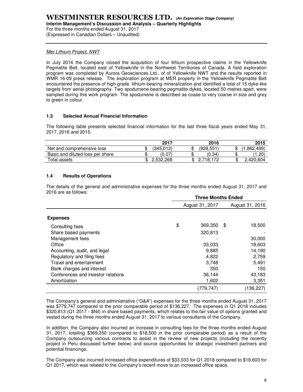(Expressed in Canadian Dollars – Unaudited)

# Mer Lithium Project, NWT

In July 2016 the Company closed the acquisition of four lithium prospective claims in the Yellowknife Pegmatite Belt, located east of Yellowknife in the Northwest Territiories of Canada. A field exploration program was completed by Aurora Geosciences Ltd., of of Yellowknife NWT and the results reported in WMR 16-09 press release. The exploration program at MER property in the Yellowknife Pegmatite Belt encountered the presence of high-grade lithium-bearing mineralization and identified a total of 15 dyke-like targets from aerial photography. Two spodumene-bearing pegmatite dykes, located 50 metres apart, were sampled during this work program. The spodumene is described as coase to very coarse in size and grey to green in colour.

# **1.3 Selected Annual Financial Information**

The following table presents selected financial information for the last three fiscal years ended May 31, 2017, 2016 and 2015.

|                                  | 2017      | 2016      |    | 2015      |
|----------------------------------|-----------|-----------|----|-----------|
| Net and comprehensive loss       | (345.012) | (928.551) |    | .862.499  |
| Basic and diluted loss per share | (0.07)    | (0.34)    |    | (1.20)    |
| Total assets                     | 2.532.268 | 2.718.172 | ۰D | 2.420.604 |

# **1.4 Results of Operations**

The details of the general and administrative expenses for the three months ended August 31, 2017 and 2016 are as follows:

|                                    | <b>Three Months Ended</b> |           |    |                 |  |  |  |
|------------------------------------|---------------------------|-----------|----|-----------------|--|--|--|
|                                    | August 31, 2017           |           |    | August 31, 2016 |  |  |  |
| <b>Expenses</b>                    |                           |           |    |                 |  |  |  |
| Consulting fees                    | \$                        | 369,350   | \$ | 18,500          |  |  |  |
| Share based payments               |                           | 320,813   |    |                 |  |  |  |
| Management fees                    |                           |           |    | 30,000          |  |  |  |
| Office                             |                           | 33,033    |    | 18,603          |  |  |  |
| Accounting, audit, and legal       |                           | 9,885     |    | 14,190          |  |  |  |
| Regulatory and filing fees         |                           | 4,822     |    | 2,759           |  |  |  |
| Travel and entertainment           |                           | 3,748     |    | 5,491           |  |  |  |
| Bank charges and interest          |                           | 350       |    | 150             |  |  |  |
| Conferences and investor relations |                           | 36,144    |    | 43,183          |  |  |  |
| Amortization                       |                           | 1,602     |    | 3,351           |  |  |  |
|                                    |                           | (779,747) |    | (136,227)       |  |  |  |

The Company's general and administrative ("G&A") expenses for the three months ended August 31, 2017 was \$779,747 compared to the prior comparable period of \$136,227. The expenses in Q1 2018 includes \$320,813 (Q1 2017 - \$Nil) in share based payments, which relates to the fair value of options granted and vested during the three months ended August 31, 2017 to various consultants of the Company.

In addition, the Company also incurred an increase in consulting fees for the three months ended August 31, 2017, totalling \$369,350 (compared to \$18,500 in the prior comparable period) as a result of the Company outsourcing various contracts to assist in the review of new projects (including the recently project in Peru discussed further below) and source opportunities for strategic investment partners and potential financings.

The Company also incurred increased office expenditures of \$33,033 for Q1 2018 compared to \$18,603 for Q1 2017, which was related to the Company's recent move to an increased office space.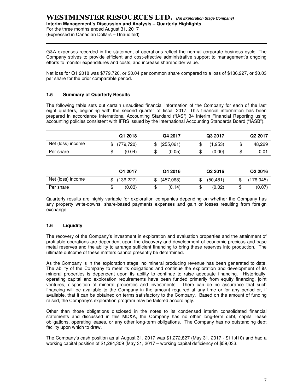For the three months ended August 31, 2017 (Expressed in Canadian Dollars – Unaudited)

G&A expenses recorded in the statement of operations reflect the normal corporate business cycle. The Company strives to provide efficient and cost-effective administrative support to management's ongoing efforts to monitor expenditures and costs, and increase shareholder value.

Net loss for Q1 2018 was \$779,720, or \$0.04 per common share compared to a loss of \$136,227, or \$0.03 per share for the prior comparable period.

# **1.5 Summary of Quarterly Results**

The following table sets out certain unaudited financial information of the Company for each of the last eight quarters, beginning with the second quarter of fiscal 2017. This financial information has been prepared in accordance International Accounting Standard ("IAS") 34 Interim Financial Reporting using accounting policies consistent with IFRS issued by the International Accounting Standards Board ("IASB").

|                   |    | Q1 2018   |   | Q4 2017   | Q3 2017 |         | Q <sub>2</sub> 2017 |  |  |
|-------------------|----|-----------|---|-----------|---------|---------|---------------------|--|--|
| Net (loss) income |    | (779,720) |   | (255,061) | ۰D      | (1.953) | 48,229              |  |  |
| Per share         | ۰D | (0.04)    | Φ | (0.05)    | ۰D      | (0.00)  | 0.01                |  |  |

|                   | Q1 2017          | Q4 2016         |     | Q <sub>2</sub> 2016 |    | Q <sub>2</sub> 2016 |
|-------------------|------------------|-----------------|-----|---------------------|----|---------------------|
| Net (loss) income | \$<br>(136, 227) | \$<br>(457,068) | \$. | (50, 481)           |    | (176, 045)          |
| Per share         | \$<br>(0.03)     | \$<br>(0.14)    | æ   | (0.02)              | JD | (0.07)              |

Quarterly results are highly variable for exploration companies depending on whether the Company has any property write-downs, share-based payments expenses and gain or losses resulting from foreign exchange.

# **1.6 Liquidity**

The recovery of the Company's investment in exploration and evaluation properties and the attainment of profitable operations are dependent upon the discovery and development of economic precious and base metal reserves and the ability to arrange sufficient financing to bring these reserves into production. The ultimate outcome of these matters cannot presently be determined.

As the Company is in the exploration stage, no mineral producing revenue has been generated to date. The ability of the Company to meet its obligations and continue the exploration and development of its mineral properties is dependent upon its ability to continue to raise adequate financing. Historically, operating capital and exploration requirements have been funded primarily from equity financing, joint ventures, disposition of mineral properties and investments. There can be no assurance that such financing will be available to the Company in the amount required at any time or for any period or, if available, that it can be obtained on terms satisfactory to the Company. Based on the amount of funding raised, the Company's exploration program may be tailored accordingly.

Other than those obligations disclosed in the notes to its condensed interim consolidated financial statements and discussed in this MD&A, the Company has no other long-term debt, capital lease obligations, operating leases, or any other long-term obligations. The Company has no outstanding debt facility upon which to draw.

The Company's cash position as at August 31, 2017 was \$1,272,827 (May 31, 2017 - \$11,410) and had a working capital position of \$1,284,309 (May 31, 2017 – working capital deficiency of \$59,033.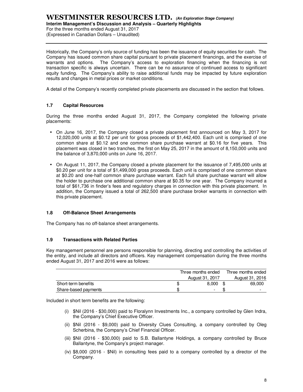# **WESTMINSTER RESOURCES LTD. (An Exploration Stage Company) Interim Management's Discussion and Analysis – Quarterly Highlights**

For the three months ended August 31, 2017 (Expressed in Canadian Dollars – Unaudited)

Historically, the Company's only source of funding has been the issuance of equity securities for cash. The Company has issued common share capital pursuant to private placement financings, and the exercise of warrants and options. The Company's access to exploration financing when the financing is not transaction specific is always uncertain. There can be no assurance of continued access to significant equity funding. The Company's ability to raise additional funds may be impacted by future exploration results and changes in metal prices or market conditions.

A detail of the Company's recently completed private placements are discussed in the section that follows.

# **1.7 Capital Resources**

During the three months ended August 31, 2017, the Company completed the following private placements:

- On June 16, 2017, the Company closed a private placement first announced on May 3, 2017 for 12,020,000 units at \$0.12 per unit for gross proceeds of \$1,442,400. Each unit is comprised of one common share at \$0.12 and one common share purchase warrant at \$0.16 for five years. This placement was closed in two tranches, the first on May 25, 2017 in the amount of 8,150,000 units and the balance of 3,870,000 units on June 16, 2017.
- On August 11, 2017, the Company closed a private placement for the issuance of 7,495,000 units at \$0.20 per unit for a total of \$1,499,000 gross proceeds. Each unit is comprised of one common share at \$0.20 and one-half common share purchase warrant. Each full share purchase warrant will allow the holder to purchase one additional common share at \$0.35 for one year. The Company incurred a total of \$61,736 in finder's fees and regulatory charges in connection with this private placement. In addition, the Company issued a total of 262,500 share purchase broker warrants in connection with this private placement.

# **1.8 Off-Balance Sheet Arrangements**

The Company has no off-balance sheet arrangements.

# **1.9 Transactions with Related Parties**

Key management personnel are persons responsible for planning, directing and controlling the activities of the entity, and include all directors and officers. Key management compensation during the three months ended August 31, 2017 and 2016 were as follows:

|                      | Three months ended |  | Three months ended |
|----------------------|--------------------|--|--------------------|
|                      | August 31, 2017    |  | August 31, 2016    |
| Short-term benefits  | 8.000              |  | 69,000             |
| Share-based payments | -                  |  | -                  |

Included in short term benefits are the following:

- (i) \$Nil (2016 \$30,000) paid to Floralynn Investments Inc., a company controlled by Glen Indra, the Company's Chief Executive Officer.
- (ii) \$Nil (2016 \$9,000) paid to Diversity Clues Consulting, a company controlled by Oleg Scherbina, the Company's Chief Financial Officer.
- (iii) \$Nil (2016 \$30,000) paid to S.B. Ballantyne Holdings, a company controlled by Bruce Ballantyne, the Company's project manager.
- (iv) \$8,000 (2016 \$Nil) in consulting fees paid to a company controlled by a director of the Company.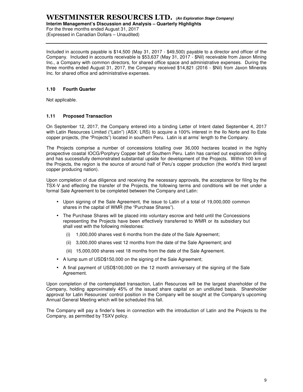# **WESTMINSTER RESOURCES LTD. (An Exploration Stage Company)**

**Interim Management's Discussion and Analysis – Quarterly Highlights** 

For the three months ended August 31, 2017 (Expressed in Canadian Dollars – Unaudited)

Included in accounts payable is \$14,500 (May 31, 2017 - \$49,500) payable to a director and officer of the Company. Included in accounts receivable is \$53,637 (May 31, 2017 - \$Nil) receivable from Jaxon Mining Inc., a Company with common directors, for shared office space and administrative expenses. During the three months ended August 31, 2017, the Company received \$14,821 (2016 - \$Nil) from Jaxon Minerals Inc. for shared office and administrative expenses.

# **1.10 Fourth Quarter**

Not applicable.

# **1.11 Proposed Transaction**

On September 12, 2017, the Company entered into a binding Letter of Intent dated September 4, 2017 with Latin Resources Limited ("Latin") (ASX: LRS) to acquire a 100% interest in the Ilo Norte and Ilo Este copper projects, (the "Projects") located in southern Peru. Latin is at arms' length to the Company.

The Projects comprise a number of concessions totalling over 36,000 hectares located in the highly prospective coastal IOCG/Porphyry Copper belt of Southern Peru. Latin has carried out exploration drilling and has successfully demonstrated substantial upside for development of the Projects. Within 100 km of the Projects, the region is the source of around half of Peru's copper production (the world's third largest copper producing nation).

Upon completion of due diligence and receiving the necessary approvals, the acceptance for filing by the TSX-V and effecting the transfer of the Projects, the following terms and conditions will be met under a formal Sale Agreement to be completed between the Company and Latin:

- Upon signing of the Sale Agreement, the issue to Latin of a total of 19,000,000 common shares in the capital of WMR (the "Purchase Shares").
- The Purchase Shares will be placed into voluntary escrow and held until the Concessions representing the Projects have been effectively transferred to WMR or its subsidiary but shall vest with the following milestones:
	- (i) 1,000,000 shares vest 6 months from the date of the Sale Agreement;
	- (ii) 3,000,000 shares vest 12 months from the date of the Sale Agreement; and
	- (iii) 15,000,000 shares vest 18 months from the date of the Sale Agreement.
- A lump sum of USD\$150,000 on the signing of the Sale Agreement;
- A final payment of USD\$100,000 on the 12 month anniversary of the signing of the Sale Agreement.

Upon completion of the contemplated transaction, Latin Resources will be the largest shareholder of the Company, holding approximately 45% of the issued share capital on an undiluted basis. Shareholder approval for Latin Resources' control position in the Company will be sought at the Company's upcoming Annual General Meeting which will be scheduled this fall.

The Company will pay a finder's fees in connection with the introduction of Latin and the Projects to the Company, as permitted by TSXV policy.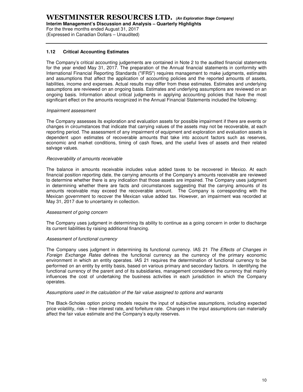For the three months ended August 31, 2017

(Expressed in Canadian Dollars – Unaudited)

# **1.12 Critical Accounting Estimates**

The Company's critical accounting judgements are contained in Note 2 to the audited financial statements for the year ended May 31, 2017. The preparation of the Annual financial statements in conformity with International Financial Reporting Standards ("IFRS") requires management to make judgments, estimates and assumptions that affect the application of accounting policies and the reported amounts of assets, liabilities, income and expenses. Actual results may differ from these estimates. Estimates and underlying assumptions are reviewed on an ongoing basis. Estimates and underlying assumptions are reviewed on an ongoing basis. Information about critical judgments in applying accounting policies that have the most significant effect on the amounts recognized in the Annual Financial Statements included the following:

### Impairment assessment

The Company assesses its exploration and evaluation assets for possible impairment if there are events or changes in circumstances that indicate that carrying values of the assets may not be recoverable, at each reporting period. The assessment of any impairment of equipment and exploration and evaluation assets is dependent upon estimates of recoverable amounts that take into account factors such as reserves, economic and market conditions, timing of cash flows, and the useful lives of assets and their related salvage values.

### Recoverability of amounts receivable

The balance in amounts receivable includes value added taxes to be recovered in Mexico. At each financial position reporting date, the carrying amounts of the Company's amounts receivable are reviewed to determine whether there is any indication that those assets are impaired. The Company uses judgment in determining whether there are facts and circumstances suggesting that the carrying amounts of its amounts receivable may exceed the recoverable amount. The Company is corresponding with the Mexican government to recover the Mexican value added tax. However, an impairment was recorded at May 31, 2017 due to uncertainty in collection.

#### Assessment of going concern

The Company uses judgment in determining its ability to continue as a going concern in order to discharge its current liabilities by raising additional financing.

#### Assessment of functional currency

The Company uses judgment in determining its functional currency. IAS 21 The Effects of Changes in Foreign Exchange Rates defines the functional currency as the currency of the primary economic environment in which an entity operates. IAS 21 requires the determination of functional currency to be performed on an entity by entity basis, based on various primary and secondary factors. In identifying the functional currency of the parent and of its subsidiaries, management considered the currency that mainly influences the cost of undertaking the business activities in each jurisdiction in which the Company operates.

#### Assumptions used in the calculation of the fair value assigned to options and warrants

The Black-Scholes option pricing models require the input of subjective assumptions, including expected price volatility, risk – free interest rate, and forfeiture rate. Changes in the input assumptions can materially affect the fair value estimate and the Company's equity reserves.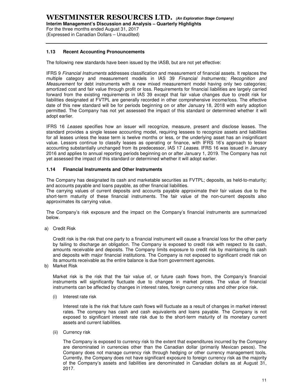(Expressed in Canadian Dollars – Unaudited)

# **1.13 Recent Accounting Pronouncements**

The following new standards have been issued by the IASB, but are not yet effective:

IFRS 9 Financial Instruments addresses classification and measurement of financial assets. It replaces the multiple category and measurement models in IAS 39 Financial Instruments; Recognition and Measurement for debt instruments with a new mixed measurement model having only two categories; amortized cost and fair value through profit or loss. Requirements for financial liabilities are largely carried forward from the existing requirements in IAS 39 except that fair value changes due to credit risk for liabilities designated at FVTPL are generally recorded in other comprehensive income/loss. The effective date of this new standard will be for periods beginning on or after January 18, 2018 with early adoption permitted. The Company has not yet assessed the impact of this standard or determined whether it will adopt earlier.

IFRS 16 Leases specifies how an issuer will recognize, measure, present and disclose leases. The standard provides a single lessee accounting model, requiring lessees to recognize assets and liabilities for all leases unless the lease term is twelve months or less, or the underlying asset has an insignificant value. Lessors continue to classify leases as operating or finance, with IFRS 16's approach to lessor accounting substantially unchanged from its predecessor, IAS 17 Leases. IFRS 16 was issued in January 2016 and applies to annual reporting periods beginning on or after January 1, 2019. The Company has not yet assessed the impact of this standard or determined whether it will adopt earlier.

### **1.14 Financial Instruments and Other Instruments**

The Company has designated its cash and marketable securities as FVTPL; deposits, as held-to-maturity; and accounts payable and loans payable, as other financial liabilities.

The carrying values of current deposits and accounts payable approximate their fair values due to the short-term maturity of these financial instruments. The fair value of the non-current deposits also approximates its carrying value.

The Company's risk exposure and the impact on the Company's financial instruments are summarized below.

a) Credit Risk

Credit risk is the risk that one party to a financial instrument will cause a financial loss for the other party by failing to discharge an obligation. The Company is exposed to credit risk with respect to its cash, amounts receivable and deposits. The Company limits exposure to credit risk by maintaining its cash and deposits with major financial institutions. The Company is not exposed to significant credit risk on its amounts receivable as the entire balance is due from government agencies.

b) Market Risk

Market risk is the risk that the fair value of, or future cash flows from, the Company's financial instruments will significantly fluctuate due to changes in market prices. The value of financial instruments can be affected by changes in interest rates, foreign currency rates and other price risk.

(i) Interest rate risk

Interest rate is the risk that future cash flows will fluctuate as a result of changes in market interest rates. The company has cash and cash equivalents and loans payable. The Company is not exposed to significant interest rate risk due to the short-term maturity of its monetary current assets and current liabilities.

(ii) Currency risk

The Company is exposed to currency risk to the extent that expenditures incurred by the Company are denominated in currencies other than the Canadian dollar (primarily Mexican pesos). The Company does not manage currency risk through hedging or other currency management tools. Currently, the Company does not have significant exposure to foreign currency risk as the majority of the Company's assets and liabilities are denominated in Canadian dollars as at August 31, 2017.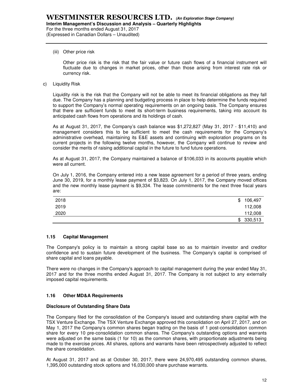#### (iii) Other price risk

Other price risk is the risk that the fair value or future cash flows of a financial instrument will fluctuate due to changes in market prices, other than those arising from interest rate risk or currency risk.

c) Liquidity Risk

Liquidity risk is the risk that the Company will not be able to meet its financial obligations as they fall due. The Company has a planning and budgeting process in place to help determine the funds required to support the Company's normal operating requirements on an ongoing basis. The Company ensures that there are sufficient funds to meet its short-term business requirements, taking into account its anticipated cash flows from operations and its holdings of cash.

As at August 31, 2017, the Company's cash balance was \$1,272,827 (May 31, 2017 - \$11,410) and management considers this to be sufficient to meet the cash requirements for the Company's administrative overhead, maintaining its E&E assets and continuing with exploration programs on its current projects in the following twelve months, however, the Company will continue to review and consider the merits of raising additional capital in the future to fund future operations.

As at August 31, 2017, the Company maintained a balance of \$106,033 in its accounts payable which were all current.

On July 1, 2016, the Company entered into a new lease agreement for a period of three years, ending June 30, 2019, for a monthly lease payment of \$3,823. On July 1, 2017, the Company moved offices and the new monthly lease payment is \$9,334. The lease commitments for the next three fiscal years are:

| 2018 | \$<br>106,497 |
|------|---------------|
| 2019 | 112,008       |
| 2020 | 112,008       |
|      | \$330,513     |

# **1.15 Capital Management**

The Company's policy is to maintain a strong capital base so as to maintain investor and creditor confidence and to sustain future development of the business. The Company's capital is comprised of share capital and loans payable.

There were no changes in the Company's approach to capital management during the year ended May 31, 2017 and for the three months ended August 31, 2017. The Company is not subject to any externally imposed capital requirements.

#### **1.16 Other MD&A Requirements**

#### **Disclosure of Outstanding Share Data**

The Company filed for the consolidation of the Company's issued and outstanding share capital with the TSX Venture Exchange. The TSX Venture Exchange approved this consolidation on April 27, 2017, and on May 1, 2017 the Company's common shares began trading on the basis of 1 post-consolidation common share for every 10 pre-consolidation common shares. The Company's outstanding options and warrants were adjusted on the same basis (1 for 10) as the common shares, with proportionate adjustments being made to the exercise prices. All shares, options and warrants have been retrospectively adjusted to reflect the share consolidation.

At August 31, 2017 and as at October 30, 2017, there were 24,970,495 outstanding common shares, 1,395,000 outstanding stock options and 16,030,000 share purchase warrants.